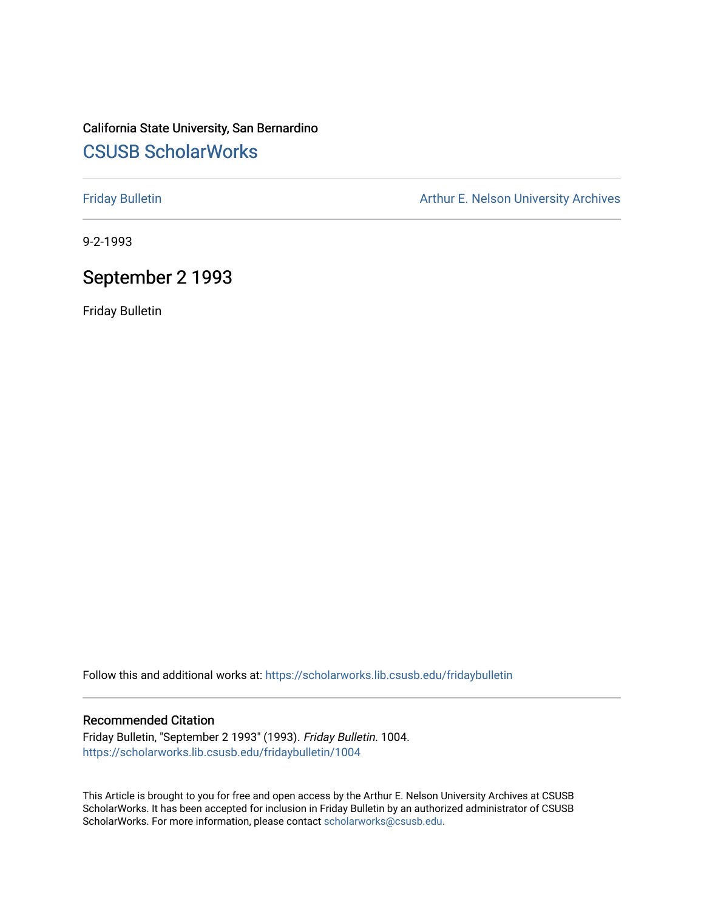### California State University, San Bernardino [CSUSB ScholarWorks](https://scholarworks.lib.csusb.edu/)

[Friday Bulletin](https://scholarworks.lib.csusb.edu/fridaybulletin) **Arthur E. Nelson University Archives** Arthur E. Nelson University Archives

9-2-1993

### September 2 1993

Friday Bulletin

Follow this and additional works at: [https://scholarworks.lib.csusb.edu/fridaybulletin](https://scholarworks.lib.csusb.edu/fridaybulletin?utm_source=scholarworks.lib.csusb.edu%2Ffridaybulletin%2F1004&utm_medium=PDF&utm_campaign=PDFCoverPages)

### Recommended Citation

Friday Bulletin, "September 2 1993" (1993). Friday Bulletin. 1004. [https://scholarworks.lib.csusb.edu/fridaybulletin/1004](https://scholarworks.lib.csusb.edu/fridaybulletin/1004?utm_source=scholarworks.lib.csusb.edu%2Ffridaybulletin%2F1004&utm_medium=PDF&utm_campaign=PDFCoverPages) 

This Article is brought to you for free and open access by the Arthur E. Nelson University Archives at CSUSB ScholarWorks. It has been accepted for inclusion in Friday Bulletin by an authorized administrator of CSUSB ScholarWorks. For more information, please contact [scholarworks@csusb.edu.](mailto:scholarworks@csusb.edu)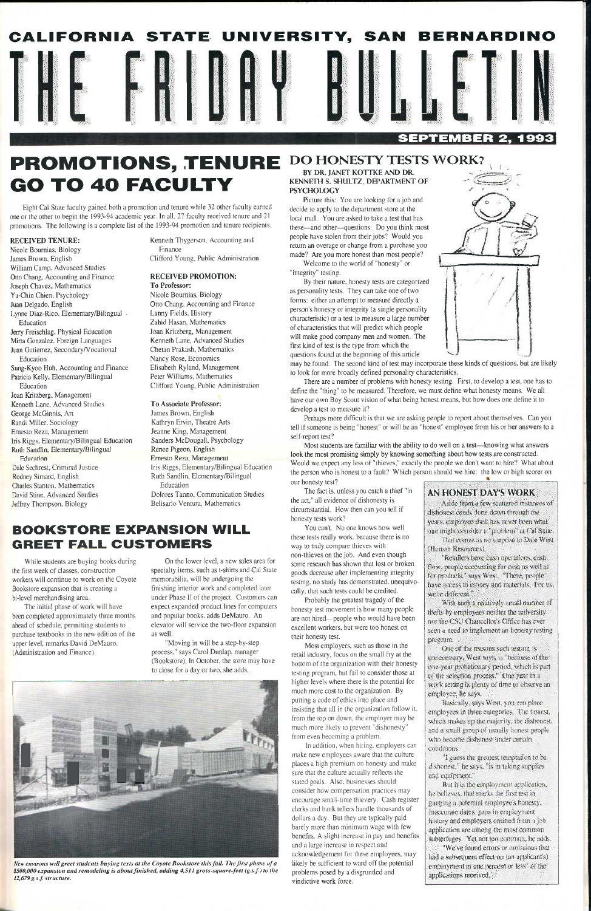## **PROMOTIONS, TENURE DO HONESTY TESTS WORK? GO TO 40 FACULTY**

Eight Cal Stale faculty gained both a promotion and tenure while 32 other faculty earned one or the other to begin the 1993-94 academic year. In all. 27 faculty received tenure and 21 promotions. The following is a complete list of the 1993-94 promotion and tenure recipients.

#### RECEIVED TENURE:

Nicole Boumias, Biology James Brown. English William Camp, Advanced Studies Otto Chang, Accounting and Finance Joseph Chavez, Mathematics Yu-Chin Chien, Psychology Juan Delgado, English Lynne Diaz-Rico. Elementary/Bilingual . Education Jerry Freischlag, Physical Education Mirta Gonzalez. Foreign Languages Juan Gutierrez, Secondary/Vocational Education Sung-Kyoo Huh, Accounting and Finance Patricia Kelly, Elementary/Bilingual Education Joan Kritzberg, Management Kenneth Lane, Advanced Studies George McGinnis, Art Randi Miller. Sociology Ernesto Reza, Management

Iris Riggs, Elementary/Bilingual Education Ruth Sandlin, Elementary/Bilingual **F**ducation Dale Sechrest, Criminal Justice

Rodney Simard, English Charles Stanton. Mathematics David Stine, Advanced Studies Jeffrey Thompson, Biology

Kenneth Thygerson. Accounting and Finance

Clifford Young. Public Administration

### RECEIVED PROMOTION: To Professor:

Nicole Bournias, Biology Otto Chang. Accounting and Finance Lanny Fields, History Zahid Hasan, Mathematics Joan Kritzberg, Management Kenneth Lane, Advanced Studies Chetan Prakash, Mathematics Nancy Rose, Economics Elisabeth Ryland, Management Peter Williams, Mathematics Clifford Young, Public Administration



To Associate Professor: James Brown, English Kathryn Ervin, Theatre Arts Jeanne King, Management Sanders McDougall, Psychology Renee Pigeon, English Ernesto Reza, Management Iris Riggs, Elementary/Bilingual Education Ruth Sandlin, Elementary/Bilingual Education

Welcome to the world of "honesty" or "integrity" testing.

Dolores Tanno, Communication Studies Belisario Ventura. Mathematics

### **BOOKSTORE EXPANSION WILL GREET FALL CUSTOMERS**

While students are buying books during the first week of classes, construction workers will continue to work on the Coyote Bookstore expansion that is creating a bi-level merchandising area.

The initial phase of work will have been completed approximately three months ahead of schedule, permitting students to purchase textbooks in the new edition of the upper level, remarks David DeMauro, (Administration and Finance).

On the lower level, a new sales area for specialty items, such as t-shirts and Cal State memorabilia, will be undergoing the finishing interior work and completed later under Phase II of the project. Customers can expect expanded product lines for computers and popular books, adds DeMauro. An elevator will service the two-floor expansion as well.

"Moving in will be a step-by-step process." says Carol Dunlap. manager (Bookstore). In October, the store may have to close for a day or two. she adds.



*Vew environs will greet students buying texts at the Coyote Bookstore this fall. The first phase of a \$500,000 expansion and remodeling is about finished, adding 4,511 gross-square-feet (g.s.f.) to the 12,679g.s.f. structure.* 

work setting is plenty of time to observe an employee, he says.

Basically, says West, you can place employees in three categories. The honest, which makes up the majority, the dishonest. and a small group of usually honest people who become dishonest under certain conditions.

"I guess the greatest temptation to be dishonest," he says, "is in taking supplies and equipment."

But it is the employment application, be believes, that marks the first test in gauging a potential employee's honesty. Inaccurate dates, gaps in employment history and employers omitted from a job. application are among the most common subterfuges. Yet not too common, he adds. "We've found errors or omissions that had a subsequent effect on (an applicant's) employment in one percent or less" of the applications received.

### BY DR. JANET KOTTKE AND DR. KENNETH S. SHULTZ, DEPARTMENT OF PSYCHOLOGY

Picture this: You are looking for a job and decide to apply to the department store at the local mall. You are asked to take a test that has these—and other—questions: Do you think most people have stolen from their jobs? Would you return an overage or change from a purchase you made? Are you more honest than most people?

By their nature, honesty tests are categorized as personality tests. They can take one of two forms; either an attempt to measure directly a person's honesty or integrity (a single personality characteristic) or a test to measure a large number of characteristics that will predict which people will make good company men and women. The first kind of test is the type from which the questions found at the beginning of this article



may be found. The second kind of test may incorporate these kinds of questions, but are likely to look for more broadly defined personality characteristics.

There are a number of problems with honesty testing. First, to develop a test, one has to define the "thing" to be measured. Therefore, we must define what honesty means. We ail have our own Boy Scout vision of what being honest means, but how does one define it to develop a test to measure it?

Perhaps more difficult is that we are asking people to report about themselves. Can you tell if someone is being "honest" or will be an "honest" employee from his or her answers to a self-report test?

Most students are familiar with the ability to do well on a test—knowing what answers look the most promising simply by knowing something about how tests are constructed. Would we expect any less of "thieves," exactly the people we don't want to hire? What about the person who is honest to a fault? Which person should we hire: the low or high scorer on our honesty test?

The fact is, unless you catch a thief "in the act," all evidence of dishonesty is circumstantial. How then can you tell if honesty tests work?

You can't. No one knows how well these tests really work, because there is no way to truly compare thieves with non-thieves on the job. And even though some research has shown that lost or broken goods decrease after implementing integrity testing, no study has demonstrated, unequivocally, that such tests could be credited.

Probably the greatest tragedy of the honesty test movement is how many people are not hired—people who would have been excellent workers, but were too honest on their honesty test.

Most employers, such as those in the retail industry, focus on the small fry at the bottom of the organization with their honesty testing program, but fail to consider those at higher levels where there is the potential for much more cost to the organization. By putting a code of ethics into place and insisting that all in the organization follow it. from the top on down, the employer may be much more likely to prevent "dishonesty" from even becoming a problem. In addition, when hiring, employers can make new employees aware that the culture places a high premium on honesty and make sure that the culture actually reflects the stated goals. Also, businesses should consider how compensation practices may encourage small-time thievery. Cash register clerks and bank tellers handle thousands of dollars a day. But they are typically paid barely more than minimum wage with few benefits. A slight increase in pay and benefits and a large increase in respect and acknowledgement for these employees, may likely be sufficient to ward off the potential problems posed by a disgruntled and vindictive work force.

### **AN HONEST DAVS WORK**

Aside from a few scattered instances of dishonest deeds done down through the years, employee theft has never been what one might consider a "problem" at Cal State. That comes as no surprise to Dale West (Human Resources).

Retailers have cash operations, eash flow, people accounting for cash as well as for products," says West. "There, people" have access to money and materials. For us, we're different."

With such a relatively small number of thefts by employees neither the university nor the CSU Chancellor's Office has ever seen a need to implement an honesty testing program.

One of the reasons such testing is utmecessary, West says, is "because of the" one-year probationary period, which is part of the selection process." One year in a